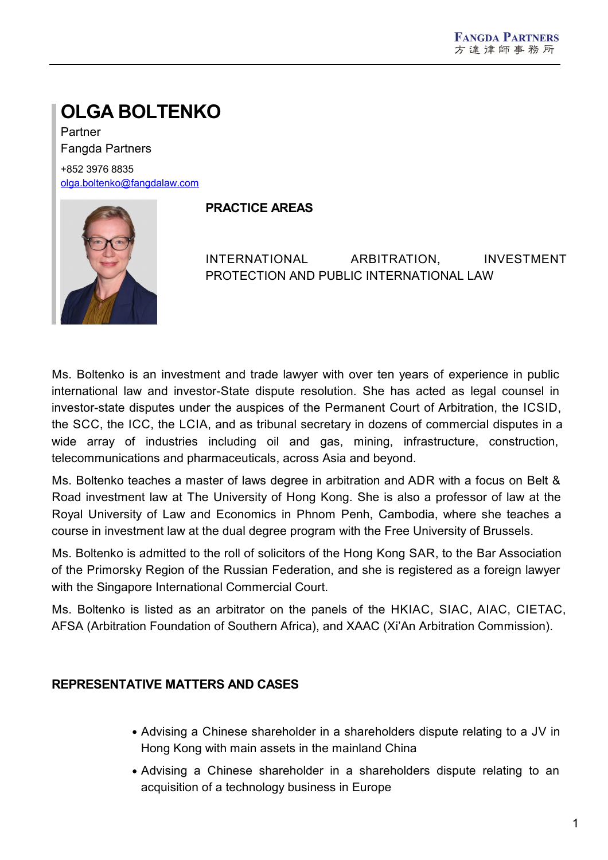# **OLGA BOLTENKO**

Partner Fangda Partners +852 3976 8835 [olga.boltenko@fangdalaw.com](mailto:olga.boltenko@fangdalaw.com)



#### **PRACTICE AREAS**

INTERNATIONAL ARBITRATION, INVESTMENT PROTECTION AND PUBLIC INTERNATIONAL LAW

Ms. Boltenko is an investment and trade lawyer with over ten years of experience in public international law and investor-State dispute resolution. She has acted as legal counsel in investor-state disputes under the auspices of the Permanent Court of Arbitration, the ICSID, the SCC, the ICC, the LCIA, and as tribunal secretary in dozens of commercial disputes in a wide array of industries including oil and gas, mining, infrastructure, construction, telecommunications and pharmaceuticals, across Asia and beyond.

Ms. Boltenko teaches a master of laws degree in arbitration and ADR with a focus on Belt & Road investment law at The University of Hong Kong. She is also a professor of law at the Royal University of Law and Economics in Phnom Penh, Cambodia, where she teaches a course in investment law at the dual degree program with the Free University of Brussels.

Ms. Boltenko is admitted to the roll of solicitors of the Hong Kong SAR, to the Bar Association of the Primorsky Region of the Russian Federation, and she is registered as a foreign lawyer with the Singapore International Commercial Court.

Ms. Boltenko is listed as an arbitrator on the panels of the HKIAC, SIAC, AIAC, CIETAC, AFSA (Arbitration Foundation of Southern Africa), and XAAC (Xi'An Arbitration Commission).

# **REPRESENTATIVE MATTERS AND CASES**

- Advising a Chinese shareholder in a shareholders dispute relating to a JV in Hong Kong with main assets in the mainland China
- Advising a Chinese shareholder in a shareholders dispute relating to an acquisition of a technology business in Europe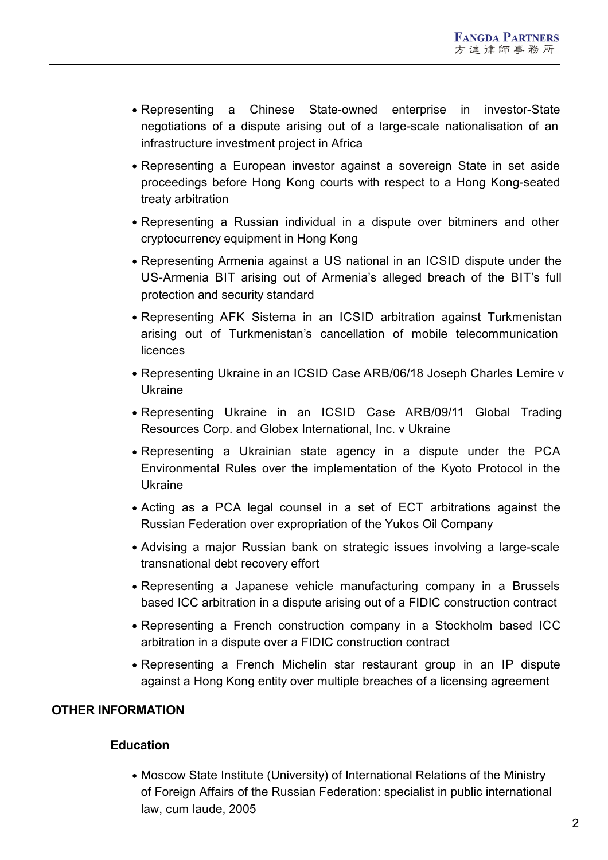- Representing a Chinese State-owned enterprise in investor-State negotiations of a dispute arising out of a large-scale nationalisation of an infrastructure investment project in Africa
- Representing a European investor against a sovereign State in set aside proceedings before Hong Kong courts with respect to a Hong Kong-seated treaty arbitration
- Representing a Russian individual in a dispute over bitminers and other cryptocurrency equipment in Hong Kong
- Representing Armenia against a US national in an ICSID dispute under the US-Armenia BIT arising out of Armenia's alleged breach of the BIT's full protection and security standard
- Representing AFK Sistema in an ICSID arbitration against Turkmenistan arising out of Turkmenistan's cancellation of mobile telecommunication licences
- Representing Ukraine in an ICSID Case ARB/06/18 Joseph Charles Lemire v Ukraine
- Representing Ukraine in an ICSID Case ARB/09/11 Global Trading Resources Corp. and Globex International, Inc. v Ukraine
- Representing a Ukrainian state agency in a dispute under the PCA Environmental Rules over the implementation of the Kyoto Protocol in the Ukraine
- Acting as a PCA legal counsel in a set of ECT arbitrations against the Russian Federation over expropriation of the Yukos Oil Company
- Advising a major Russian bank on strategic issues involving a large-scale transnational debt recovery effort
- Representing a Japanese vehicle manufacturing company in a Brussels based ICC arbitration in a dispute arising out of a FIDIC construction contract
- Representing a French construction company in a Stockholm based ICC arbitration in a dispute over a FIDIC construction contract
- Representing a French Michelin star restaurant group in an IP dispute against a Hong Kong entity over multiple breaches of a licensing agreement

# **OTHER INFORMATION**

# **Education**

Moscow State Institute (University) of International Relations of the Ministry of Foreign Affairs of the Russian Federation: specialist in public international law, cum laude, 2005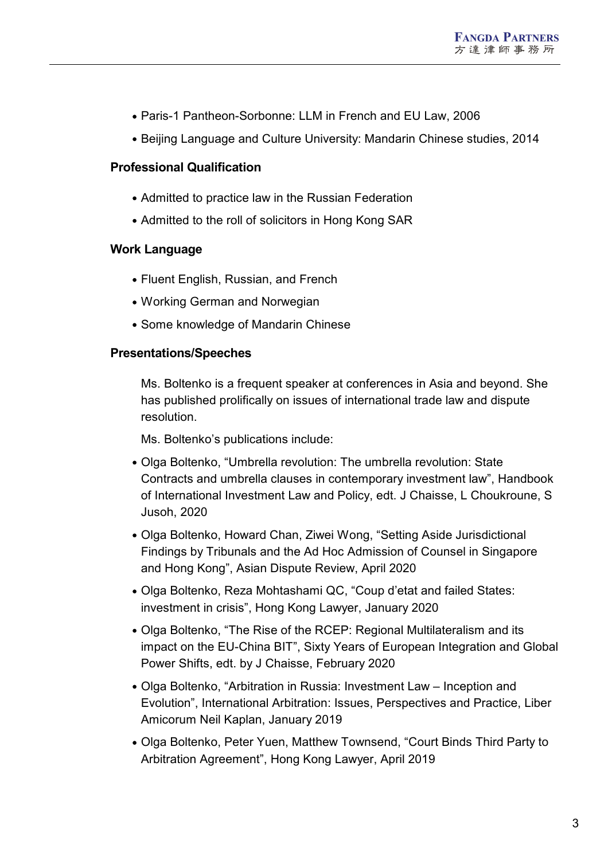- Paris-1 Pantheon-Sorbonne: LLM in French and EU Law, 2006
- Beijing Language and Culture University: Mandarin Chinese studies, 2014

#### **Professional Qualification**

- Admitted to practice law in the Russian Federation
- Admitted to the roll of solicitors in Hong Kong SAR

#### **Work Language**

- Fluent English, Russian, and French
- Working German and Norwegian
- Some knowledge of Mandarin Chinese

#### **Presentations/Speeches**

Ms. Boltenko is a frequent speaker at conferences in Asia and beyond. She has published prolifically on issues of international trade law and dispute resolution.

Ms. Boltenko's publications include:

- Olga Boltenko, "Umbrella revolution: The umbrella revolution: State Contracts and umbrella clauses in contemporary investment law", Handbook of International Investment Law and Policy, edt. J Chaisse, L Choukroune, S Jusoh, 2020
- Olga Boltenko, Howard Chan, Ziwei Wong, "Setting Aside Jurisdictional Findings by Tribunals and the Ad Hoc Admission of Counsel in Singapore and Hong Kong", Asian Dispute Review, April 2020
- Olga Boltenko, Reza Mohtashami QC, "Coup d'etat and failed States: investment in crisis", Hong Kong Lawyer, January 2020
- Olga Boltenko, "The Rise of the RCEP: Regional Multilateralism and its impact on the EU-China BIT", Sixty Years of European Integration and Global Power Shifts, edt. by J Chaisse, February 2020
- Olga Boltenko, "Arbitration in Russia: Investment Law Inception and Evolution", International Arbitration: Issues, Perspectives and Practice, Liber Amicorum Neil Kaplan, January 2019
- Olga Boltenko, Peter Yuen, Matthew Townsend, "Court Binds Third Party to Arbitration Agreement", Hong Kong Lawyer, April 2019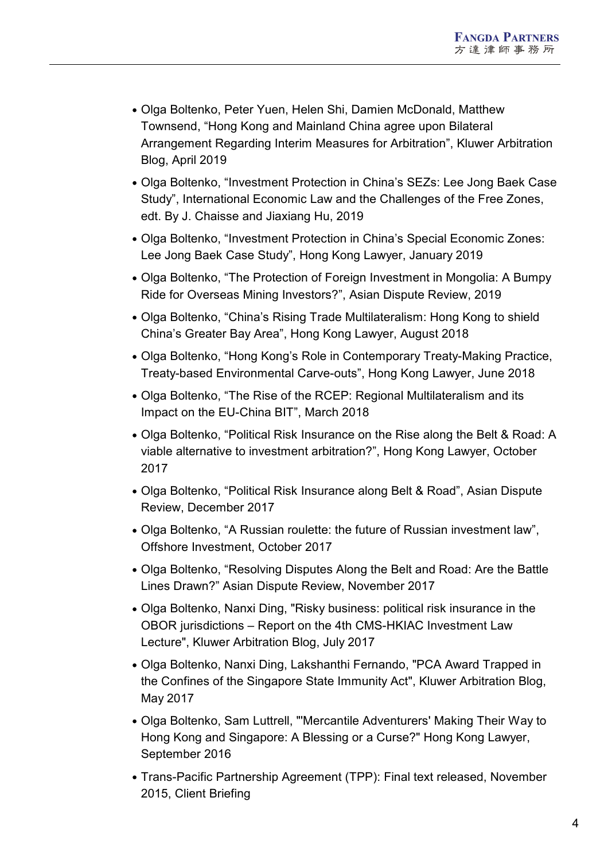- Olga Boltenko, Peter Yuen, Helen Shi, Damien McDonald, Matthew Townsend, "Hong Kong and Mainland China agree upon Bilateral Arrangement Regarding Interim Measures for Arbitration", Kluwer Arbitration Blog, April 2019
- Olga Boltenko, "Investment Protection in China's SEZs: Lee Jong Baek Case Study", International Economic Law and the Challenges of the Free Zones, edt. By J. Chaisse and Jiaxiang Hu, 2019
- Olga Boltenko, "Investment Protection in China's Special Economic Zones: Lee Jong Baek Case Study", Hong Kong Lawyer, January 2019
- Olga Boltenko, "The Protection of Foreign Investment in Mongolia: A Bumpy Ride for Overseas Mining Investors?", Asian Dispute Review, 2019
- Olga Boltenko, "China's Rising Trade Multilateralism: Hong Kong to shield China's Greater Bay Area", Hong Kong Lawyer, August 2018
- Olga Boltenko, "Hong Kong's Role in Contemporary Treaty-Making Practice, Treaty-based Environmental Carve-outs", Hong Kong Lawyer, June 2018
- Olga Boltenko, "The Rise of the RCEP: Regional Multilateralism and its Impact on the EU-China BIT", March 2018
- Olga Boltenko, "Political Risk Insurance on the Rise along the Belt & Road: A viable alternative to investment arbitration?", Hong Kong Lawyer, October 2017
- Olga Boltenko, "Political Risk Insurance along Belt & Road", Asian Dispute Review, December 2017
- Olga Boltenko, "A Russian roulette: the future of Russian investment law", Offshore Investment, October 2017
- Olga Boltenko, "Resolving Disputes Along the Belt and Road: Are the Battle Lines Drawn?" Asian Dispute Review, November 2017
- Olga Boltenko, Nanxi Ding, "Risky business: political risk insurance in the OBOR jurisdictions – Report on the 4th CMS-HKIAC Investment Law Lecture", Kluwer Arbitration Blog, July 2017
- Olga Boltenko, Nanxi Ding, Lakshanthi Fernando, "PCA Award Trapped in the Confines of the Singapore State Immunity Act", Kluwer Arbitration Blog, May 2017
- Olga Boltenko, Sam Luttrell, "'Mercantile Adventurers' Making Their Way to Hong Kong and Singapore: A Blessing or a Curse?" Hong Kong Lawyer, September 2016
- Trans-Pacific Partnership Agreement (TPP): Final text released, November 2015, Client Briefing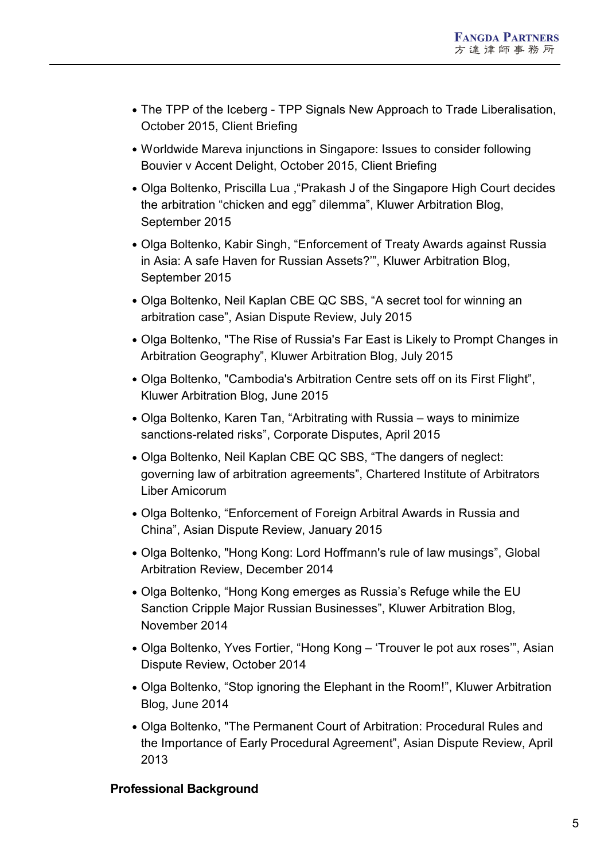- The TPP of the Iceberg TPP Signals New Approach to Trade Liberalisation, October 2015, Client Briefing
- Worldwide Mareva injunctions in Singapore: Issues to consider following Bouvier v Accent Delight, October 2015, Client Briefing
- Olga Boltenko, Priscilla Lua ,"Prakash J of the Singapore High Court decides the arbitration "chicken and egg" dilemma", Kluwer Arbitration Blog, September 2015
- Olga Boltenko, Kabir Singh, "Enforcement of Treaty Awards against Russia in Asia: A safe Haven for Russian Assets?'", Kluwer Arbitration Blog, September 2015
- Olga Boltenko, Neil Kaplan CBE QC SBS, "A secret tool for winning an arbitration case", Asian Dispute Review, July 2015
- Olga Boltenko, "The Rise of Russia's Far East is Likely to Prompt Changes in Arbitration Geography", Kluwer Arbitration Blog, July 2015
- Olga Boltenko, "Cambodia's Arbitration Centre sets off on its First Flight", Kluwer Arbitration Blog, June 2015
- Olga Boltenko, Karen Tan, "Arbitrating with Russia ways to minimize sanctions-related risks", Corporate Disputes, April 2015
- Olga Boltenko, Neil Kaplan CBE QC SBS, "The dangers of neglect: governing law of arbitration agreements", Chartered Institute of Arbitrators Liber Amicorum
- Olga Boltenko, "Enforcement of Foreign Arbitral Awards in Russia and China", Asian Dispute Review, January 2015
- Olga Boltenko, "Hong Kong: Lord Hoffmann's rule of law musings", Global Arbitration Review, December 2014
- Olga Boltenko, "Hong Kong emerges as Russia's Refuge while the EU Sanction Cripple Major Russian Businesses", Kluwer Arbitration Blog, November 2014
- Olga Boltenko, Yves Fortier, "Hong Kong 'Trouver le pot aux roses'", Asian Dispute Review, October 2014
- Olga Boltenko, "Stop ignoring the Elephant in the Room!", Kluwer Arbitration Blog, June 2014
- Olga Boltenko, "The Permanent Court of Arbitration: Procedural Rules and the Importance of Early Procedural Agreement", Asian Dispute Review, April 2013

# **Professional Background**